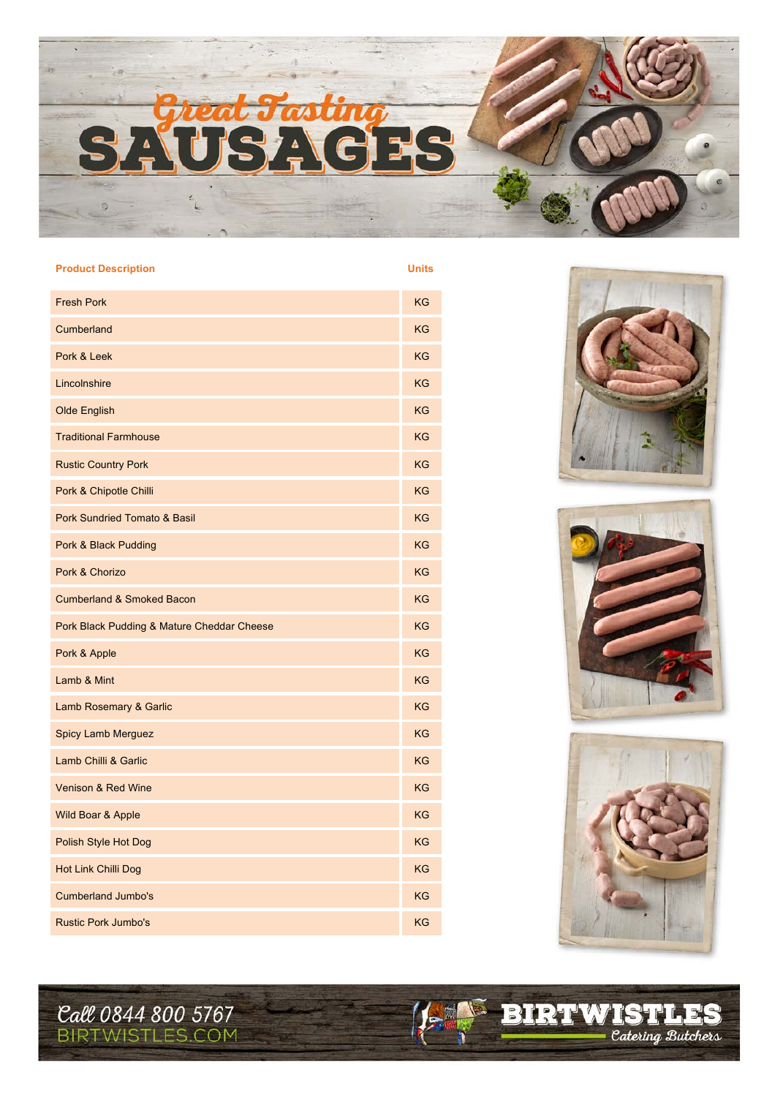

## **Product Description Units**

| <b>Fresh Pork</b>                          | <b>KG</b> |
|--------------------------------------------|-----------|
| Cumberland                                 | KG        |
| Pork & Leek                                | <b>KG</b> |
| Lincolnshire                               | <b>KG</b> |
| <b>Olde English</b>                        | <b>KG</b> |
| <b>Traditional Farmhouse</b>               | KG        |
| <b>Rustic Country Pork</b>                 | <b>KG</b> |
| Pork & Chipotle Chilli                     | <b>KG</b> |
| <b>Pork Sundried Tomato &amp; Basil</b>    | <b>KG</b> |
| Pork & Black Pudding                       | <b>KG</b> |
| Pork & Chorizo                             | <b>KG</b> |
| <b>Cumberland &amp; Smoked Bacon</b>       | KG        |
| Pork Black Pudding & Mature Cheddar Cheese | <b>KG</b> |
| Pork & Apple                               | KG        |
| Lamb & Mint                                | KG        |
| Lamb Rosemary & Garlic                     | <b>KG</b> |
| <b>Spicy Lamb Merguez</b>                  | <b>KG</b> |
| Lamb Chilli & Garlic                       | KG        |
| Venison & Red Wine                         | KG        |
| Wild Boar & Apple                          | KG        |
| Polish Style Hot Dog                       | KG        |
| Hot Link Chilli Dog                        | <b>KG</b> |
| <b>Cumberland Jumbo's</b>                  | KG        |
| <b>Rustic Pork Jumbo's</b>                 | KG        |







138

*Catering Butchers* 

BIRTWIST

**Call 0844 800 5767**<br>BIRTWISTLES.COM